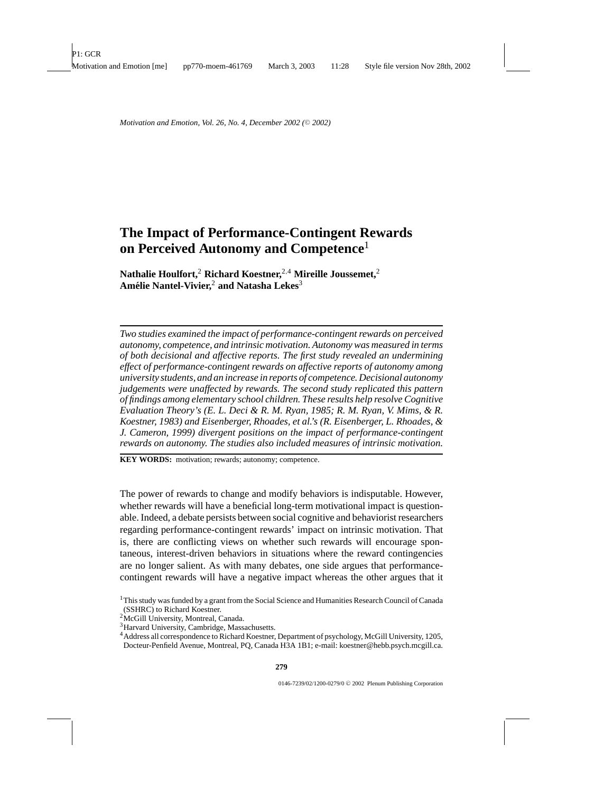# **The Impact of Performance-Contingent Rewards on Perceived Autonomy and Competence**<sup>1</sup>

**Nathalie Houlfort,**<sup>2</sup> **Richard Koestner,**<sup>2</sup>,<sup>4</sup> **Mireille Joussemet,**<sup>2</sup> **Am´elie Nantel-Vivier,**<sup>2</sup> **and Natasha Lekes**<sup>3</sup>

*Two studies examined the impact of performance-contingent rewards on perceived autonomy, competence, and intrinsic motivation. Autonomy was measured in terms of both decisional and affective reports. The first study revealed an undermining effect of performance-contingent rewards on affective reports of autonomy among university students, and an increase in reports of competence. Decisional autonomy judgements were unaffected by rewards. The second study replicated this pattern of findings among elementary school children. These results help resolve Cognitive Evaluation Theory's (E. L. Deci & R. M. Ryan, 1985; R. M. Ryan, V. Mims, & R. Koestner, 1983) and Eisenberger, Rhoades, et al.'s (R. Eisenberger, L. Rhoades, & J. Cameron, 1999) divergent positions on the impact of performance-contingent rewards on autonomy. The studies also included measures of intrinsic motivation.*

**KEY WORDS:** motivation; rewards; autonomy; competence.

The power of rewards to change and modify behaviors is indisputable. However, whether rewards will have a beneficial long-term motivational impact is questionable. Indeed, a debate persists between social cognitive and behaviorist researchers regarding performance-contingent rewards' impact on intrinsic motivation. That is, there are conflicting views on whether such rewards will encourage spontaneous, interest-driven behaviors in situations where the reward contingencies are no longer salient. As with many debates, one side argues that performancecontingent rewards will have a negative impact whereas the other argues that it

<sup>&</sup>lt;sup>1</sup>This study was funded by a grant from the Social Science and Humanities Research Council of Canada (SSHRC) to Richard Koestner.

<sup>&</sup>lt;sup>2</sup>McGill University, Montreal, Canada.

<sup>3</sup>Harvard University, Cambridge, Massachusetts.

<sup>4</sup>Address all correspondence to Richard Koestner, Department of psychology, McGill University, 1205, Docteur-Penfield Avenue, Montreal, PQ, Canada H3A 1B1; e-mail: koestner@hebb.psych.mcgill.ca.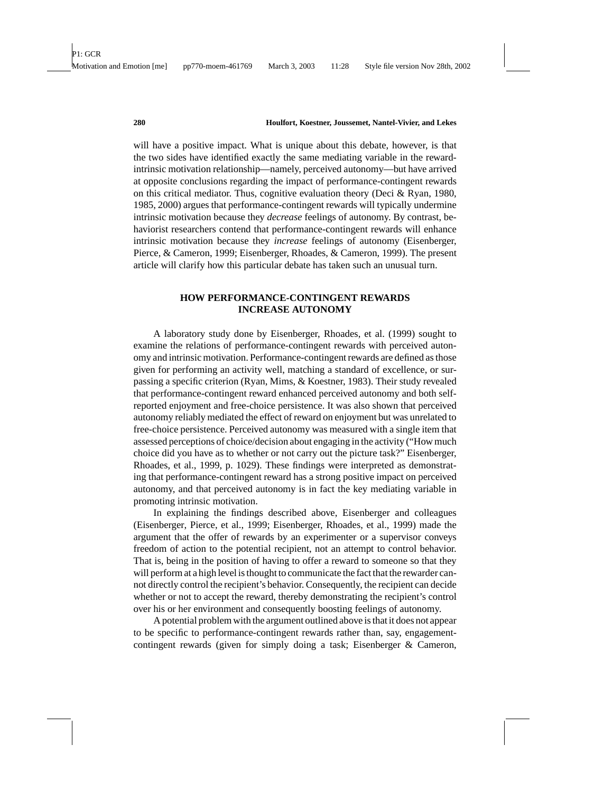will have a positive impact. What is unique about this debate, however, is that the two sides have identified exactly the same mediating variable in the rewardintrinsic motivation relationship—namely, perceived autonomy—but have arrived at opposite conclusions regarding the impact of performance-contingent rewards on this critical mediator. Thus, cognitive evaluation theory (Deci & Ryan, 1980, 1985, 2000) argues that performance-contingent rewards will typically undermine intrinsic motivation because they *decrease* feelings of autonomy. By contrast, behaviorist researchers contend that performance-contingent rewards will enhance intrinsic motivation because they *increase* feelings of autonomy (Eisenberger, Pierce, & Cameron, 1999; Eisenberger, Rhoades, & Cameron, 1999). The present article will clarify how this particular debate has taken such an unusual turn.

# **HOW PERFORMANCE-CONTINGENT REWARDS INCREASE AUTONOMY**

A laboratory study done by Eisenberger, Rhoades, et al. (1999) sought to examine the relations of performance-contingent rewards with perceived autonomy and intrinsic motivation. Performance-contingent rewards are defined as those given for performing an activity well, matching a standard of excellence, or surpassing a specific criterion (Ryan, Mims, & Koestner, 1983). Their study revealed that performance-contingent reward enhanced perceived autonomy and both selfreported enjoyment and free-choice persistence. It was also shown that perceived autonomy reliably mediated the effect of reward on enjoyment but was unrelated to free-choice persistence. Perceived autonomy was measured with a single item that assessed perceptions of choice/decision about engaging in the activity ("How much choice did you have as to whether or not carry out the picture task?" Eisenberger, Rhoades, et al., 1999, p. 1029). These findings were interpreted as demonstrating that performance-contingent reward has a strong positive impact on perceived autonomy, and that perceived autonomy is in fact the key mediating variable in promoting intrinsic motivation.

In explaining the findings described above, Eisenberger and colleagues (Eisenberger, Pierce, et al., 1999; Eisenberger, Rhoades, et al., 1999) made the argument that the offer of rewards by an experimenter or a supervisor conveys freedom of action to the potential recipient, not an attempt to control behavior. That is, being in the position of having to offer a reward to someone so that they will perform at a high level is thought to communicate the fact that the rewarder cannot directly control the recipient's behavior. Consequently, the recipient can decide whether or not to accept the reward, thereby demonstrating the recipient's control over his or her environment and consequently boosting feelings of autonomy.

A potential problem with the argument outlined above is that it does not appear to be specific to performance-contingent rewards rather than, say, engagementcontingent rewards (given for simply doing a task; Eisenberger & Cameron,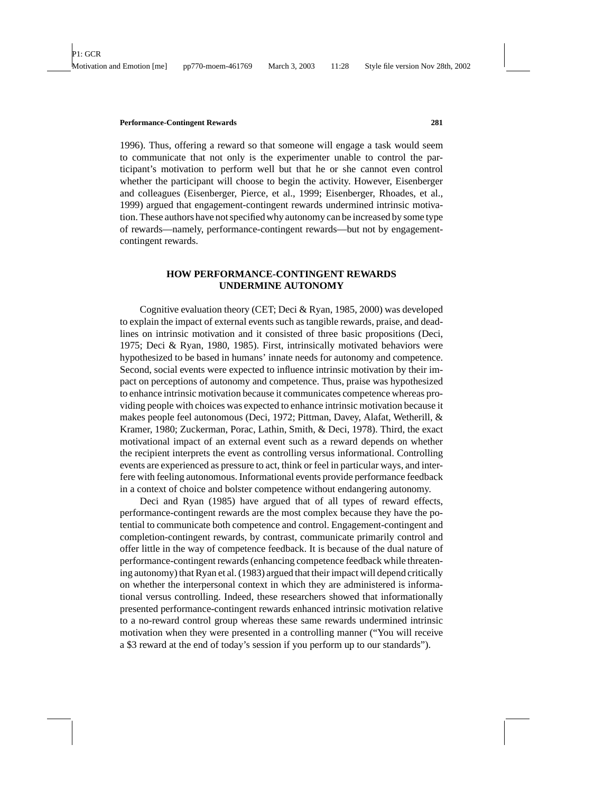1996). Thus, offering a reward so that someone will engage a task would seem to communicate that not only is the experimenter unable to control the participant's motivation to perform well but that he or she cannot even control whether the participant will choose to begin the activity. However, Eisenberger and colleagues (Eisenberger, Pierce, et al., 1999; Eisenberger, Rhoades, et al., 1999) argued that engagement-contingent rewards undermined intrinsic motivation. These authors have not specified why autonomy can be increased by some type of rewards—namely, performance-contingent rewards—but not by engagementcontingent rewards.

# **HOW PERFORMANCE-CONTINGENT REWARDS UNDERMINE AUTONOMY**

Cognitive evaluation theory (CET; Deci & Ryan, 1985, 2000) was developed to explain the impact of external events such as tangible rewards, praise, and deadlines on intrinsic motivation and it consisted of three basic propositions (Deci, 1975; Deci & Ryan, 1980, 1985). First, intrinsically motivated behaviors were hypothesized to be based in humans' innate needs for autonomy and competence. Second, social events were expected to influence intrinsic motivation by their impact on perceptions of autonomy and competence. Thus, praise was hypothesized to enhance intrinsic motivation because it communicates competence whereas providing people with choices was expected to enhance intrinsic motivation because it makes people feel autonomous (Deci, 1972; Pittman, Davey, Alafat, Wetherill, & Kramer, 1980; Zuckerman, Porac, Lathin, Smith, & Deci, 1978). Third, the exact motivational impact of an external event such as a reward depends on whether the recipient interprets the event as controlling versus informational. Controlling events are experienced as pressure to act, think or feel in particular ways, and interfere with feeling autonomous. Informational events provide performance feedback in a context of choice and bolster competence without endangering autonomy.

Deci and Ryan (1985) have argued that of all types of reward effects, performance-contingent rewards are the most complex because they have the potential to communicate both competence and control. Engagement-contingent and completion-contingent rewards, by contrast, communicate primarily control and offer little in the way of competence feedback. It is because of the dual nature of performance-contingent rewards (enhancing competence feedback while threatening autonomy) that Ryan et al. (1983) argued that their impact will depend critically on whether the interpersonal context in which they are administered is informational versus controlling. Indeed, these researchers showed that informationally presented performance-contingent rewards enhanced intrinsic motivation relative to a no-reward control group whereas these same rewards undermined intrinsic motivation when they were presented in a controlling manner ("You will receive a \$3 reward at the end of today's session if you perform up to our standards").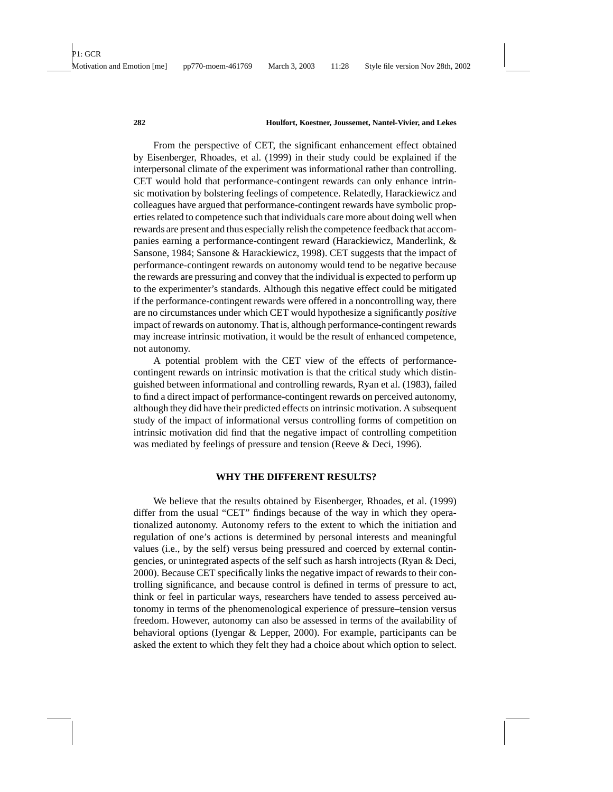From the perspective of CET, the significant enhancement effect obtained by Eisenberger, Rhoades, et al. (1999) in their study could be explained if the interpersonal climate of the experiment was informational rather than controlling. CET would hold that performance-contingent rewards can only enhance intrinsic motivation by bolstering feelings of competence. Relatedly, Harackiewicz and colleagues have argued that performance-contingent rewards have symbolic properties related to competence such that individuals care more about doing well when rewards are present and thus especially relish the competence feedback that accompanies earning a performance-contingent reward (Harackiewicz, Manderlink, & Sansone, 1984; Sansone & Harackiewicz, 1998). CET suggests that the impact of performance-contingent rewards on autonomy would tend to be negative because the rewards are pressuring and convey that the individual is expected to perform up to the experimenter's standards. Although this negative effect could be mitigated if the performance-contingent rewards were offered in a noncontrolling way, there are no circumstances under which CET would hypothesize a significantly *positive* impact of rewards on autonomy. That is, although performance-contingent rewards may increase intrinsic motivation, it would be the result of enhanced competence, not autonomy.

A potential problem with the CET view of the effects of performancecontingent rewards on intrinsic motivation is that the critical study which distinguished between informational and controlling rewards, Ryan et al. (1983), failed to find a direct impact of performance-contingent rewards on perceived autonomy, although they did have their predicted effects on intrinsic motivation. A subsequent study of the impact of informational versus controlling forms of competition on intrinsic motivation did find that the negative impact of controlling competition was mediated by feelings of pressure and tension (Reeve & Deci, 1996).

### **WHY THE DIFFERENT RESULTS?**

We believe that the results obtained by Eisenberger, Rhoades, et al. (1999) differ from the usual "CET" findings because of the way in which they operationalized autonomy. Autonomy refers to the extent to which the initiation and regulation of one's actions is determined by personal interests and meaningful values (i.e., by the self) versus being pressured and coerced by external contingencies, or unintegrated aspects of the self such as harsh introjects (Ryan & Deci, 2000). Because CET specifically links the negative impact of rewards to their controlling significance, and because control is defined in terms of pressure to act, think or feel in particular ways, researchers have tended to assess perceived autonomy in terms of the phenomenological experience of pressure–tension versus freedom. However, autonomy can also be assessed in terms of the availability of behavioral options (Iyengar & Lepper, 2000). For example, participants can be asked the extent to which they felt they had a choice about which option to select.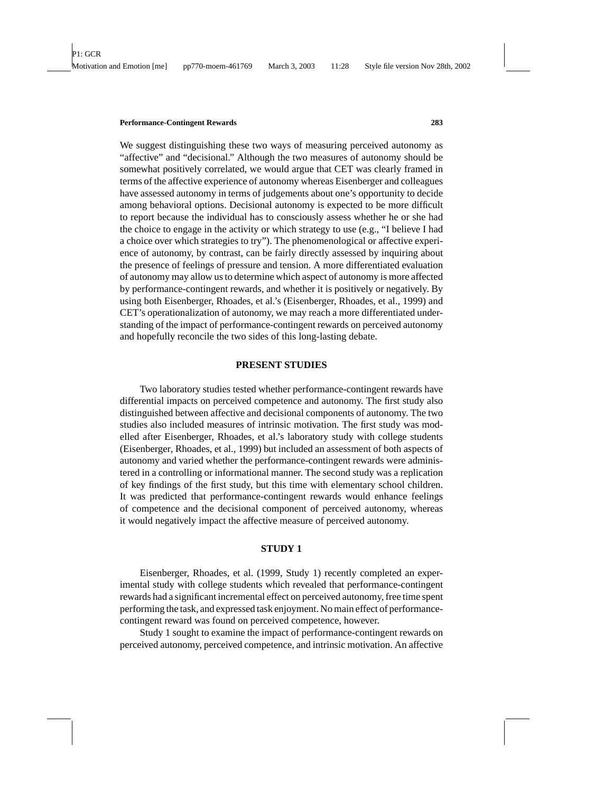We suggest distinguishing these two ways of measuring perceived autonomy as "affective" and "decisional." Although the two measures of autonomy should be somewhat positively correlated, we would argue that CET was clearly framed in terms of the affective experience of autonomy whereas Eisenberger and colleagues have assessed autonomy in terms of judgements about one's opportunity to decide among behavioral options. Decisional autonomy is expected to be more difficult to report because the individual has to consciously assess whether he or she had the choice to engage in the activity or which strategy to use (e.g., "I believe I had a choice over which strategies to try"). The phenomenological or affective experience of autonomy, by contrast, can be fairly directly assessed by inquiring about the presence of feelings of pressure and tension. A more differentiated evaluation of autonomy may allow us to determine which aspect of autonomy is more affected by performance-contingent rewards, and whether it is positively or negatively. By using both Eisenberger, Rhoades, et al.'s (Eisenberger, Rhoades, et al., 1999) and CET's operationalization of autonomy, we may reach a more differentiated understanding of the impact of performance-contingent rewards on perceived autonomy and hopefully reconcile the two sides of this long-lasting debate.

### **PRESENT STUDIES**

Two laboratory studies tested whether performance-contingent rewards have differential impacts on perceived competence and autonomy. The first study also distinguished between affective and decisional components of autonomy. The two studies also included measures of intrinsic motivation. The first study was modelled after Eisenberger, Rhoades, et al.'s laboratory study with college students (Eisenberger, Rhoades, et al., 1999) but included an assessment of both aspects of autonomy and varied whether the performance-contingent rewards were administered in a controlling or informational manner. The second study was a replication of key findings of the first study, but this time with elementary school children. It was predicted that performance-contingent rewards would enhance feelings of competence and the decisional component of perceived autonomy, whereas it would negatively impact the affective measure of perceived autonomy.

# **STUDY 1**

Eisenberger, Rhoades, et al. (1999, Study 1) recently completed an experimental study with college students which revealed that performance-contingent rewards had a significant incremental effect on perceived autonomy, free time spent performing the task, and expressed task enjoyment. No main effect of performancecontingent reward was found on perceived competence, however.

Study 1 sought to examine the impact of performance-contingent rewards on perceived autonomy, perceived competence, and intrinsic motivation. An affective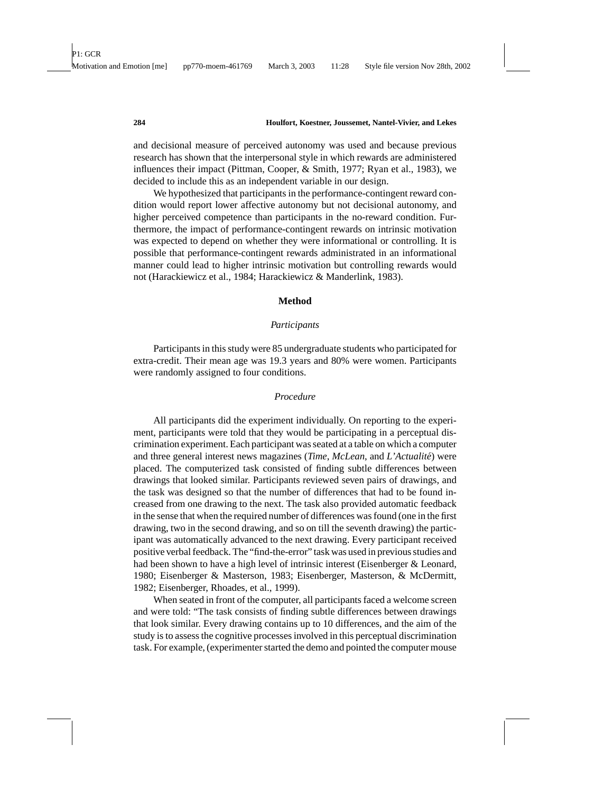and decisional measure of perceived autonomy was used and because previous research has shown that the interpersonal style in which rewards are administered influences their impact (Pittman, Cooper, & Smith, 1977; Ryan et al., 1983), we decided to include this as an independent variable in our design.

We hypothesized that participants in the performance-contingent reward condition would report lower affective autonomy but not decisional autonomy, and higher perceived competence than participants in the no-reward condition. Furthermore, the impact of performance-contingent rewards on intrinsic motivation was expected to depend on whether they were informational or controlling. It is possible that performance-contingent rewards administrated in an informational manner could lead to higher intrinsic motivation but controlling rewards would not (Harackiewicz et al., 1984; Harackiewicz & Manderlink, 1983).

# **Method**

# *Participants*

Participants in this study were 85 undergraduate students who participated for extra-credit. Their mean age was 19.3 years and 80% were women. Participants were randomly assigned to four conditions.

# *Procedure*

All participants did the experiment individually. On reporting to the experiment, participants were told that they would be participating in a perceptual discrimination experiment. Each participant was seated at a table on which a computer and three general interest news magazines (*Time*, *McLean*, and *L'Actualité*) were placed. The computerized task consisted of finding subtle differences between drawings that looked similar. Participants reviewed seven pairs of drawings, and the task was designed so that the number of differences that had to be found increased from one drawing to the next. The task also provided automatic feedback in the sense that when the required number of differences was found (one in the first drawing, two in the second drawing, and so on till the seventh drawing) the participant was automatically advanced to the next drawing. Every participant received positive verbal feedback. The "find-the-error" task was used in previous studies and had been shown to have a high level of intrinsic interest (Eisenberger & Leonard, 1980; Eisenberger & Masterson, 1983; Eisenberger, Masterson, & McDermitt, 1982; Eisenberger, Rhoades, et al., 1999).

When seated in front of the computer, all participants faced a welcome screen and were told: "The task consists of finding subtle differences between drawings that look similar. Every drawing contains up to 10 differences, and the aim of the study is to assess the cognitive processes involved in this perceptual discrimination task. For example, (experimenter started the demo and pointed the computer mouse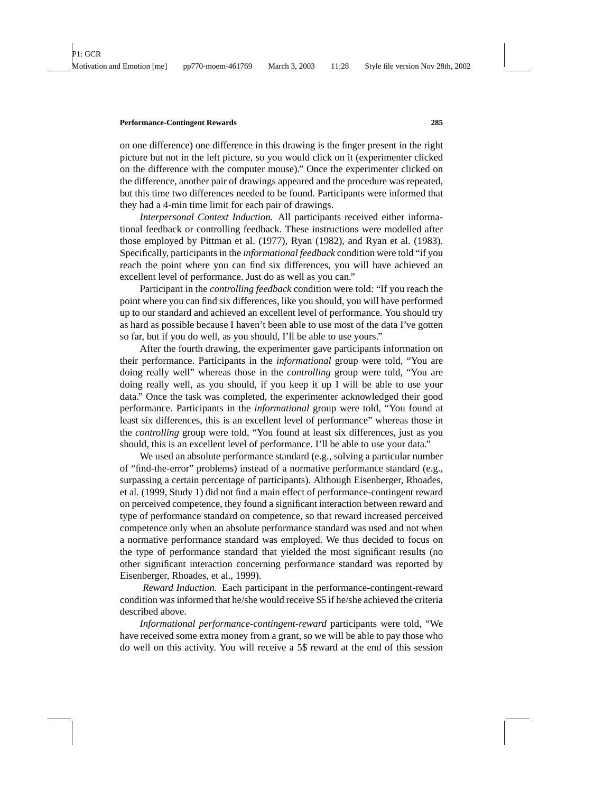on one difference) one difference in this drawing is the finger present in the right picture but not in the left picture, so you would click on it (experimenter clicked on the difference with the computer mouse)." Once the experimenter clicked on the difference, another pair of drawings appeared and the procedure was repeated, but this time two differences needed to be found. Participants were informed that they had a 4-min time limit for each pair of drawings.

*Interpersonal Context Induction.* All participants received either informational feedback or controlling feedback. These instructions were modelled after those employed by Pittman et al. (1977), Ryan (1982), and Ryan et al. (1983). Specifically, participants in the *informational feedback* condition were told "if you reach the point where you can find six differences, you will have achieved an excellent level of performance. Just do as well as you can."

Participant in the *controlling feedback* condition were told: "If you reach the point where you can find six differences, like you should, you will have performed up to our standard and achieved an excellent level of performance. You should try as hard as possible because I haven't been able to use most of the data I've gotten so far, but if you do well, as you should, I'll be able to use yours."

After the fourth drawing, the experimenter gave participants information on their performance. Participants in the *informational* group were told, "You are doing really well" whereas those in the *controlling* group were told, "You are doing really well, as you should, if you keep it up I will be able to use your data." Once the task was completed, the experimenter acknowledged their good performance. Participants in the *informational* group were told, "You found at least six differences, this is an excellent level of performance" whereas those in the *controlling* group were told, "You found at least six differences, just as you should, this is an excellent level of performance. I'll be able to use your data."

We used an absolute performance standard (e.g., solving a particular number of "find-the-error" problems) instead of a normative performance standard (e.g., surpassing a certain percentage of participants). Although Eisenberger, Rhoades, et al. (1999, Study 1) did not find a main effect of performance-contingent reward on perceived competence, they found a significant interaction between reward and type of performance standard on competence, so that reward increased perceived competence only when an absolute performance standard was used and not when a normative performance standard was employed. We thus decided to focus on the type of performance standard that yielded the most significant results (no other significant interaction concerning performance standard was reported by Eisenberger, Rhoades, et al., 1999).

*Reward Induction.* Each participant in the performance-contingent-reward condition was informed that he/she would receive \$5 if he/she achieved the criteria described above.

*Informational performance-contingent-reward* participants were told, "We have received some extra money from a grant, so we will be able to pay those who do well on this activity. You will receive a 5\$ reward at the end of this session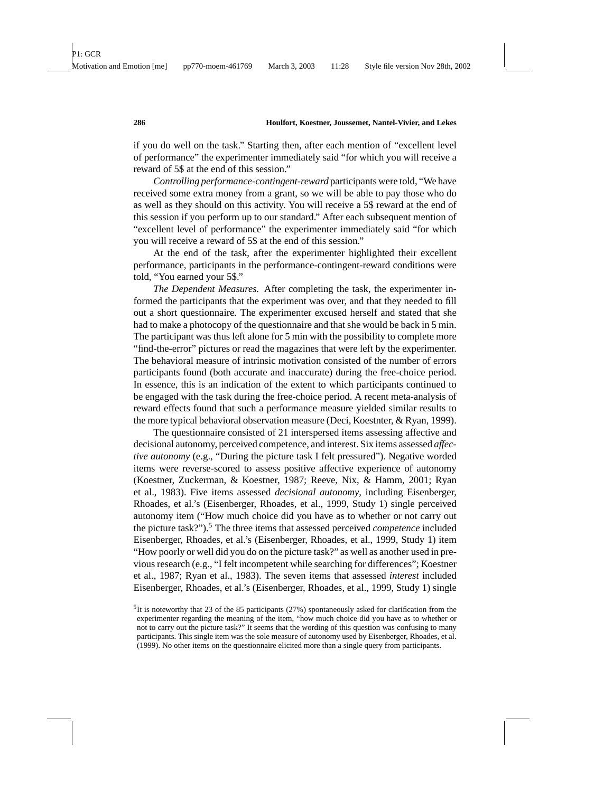if you do well on the task." Starting then, after each mention of "excellent level of performance" the experimenter immediately said "for which you will receive a reward of 5\$ at the end of this session."

*Controlling performance-contingent-reward* participants were told, "We have received some extra money from a grant, so we will be able to pay those who do as well as they should on this activity. You will receive a 5\$ reward at the end of this session if you perform up to our standard." After each subsequent mention of "excellent level of performance" the experimenter immediately said "for which you will receive a reward of 5\$ at the end of this session."

At the end of the task, after the experimenter highlighted their excellent performance, participants in the performance-contingent-reward conditions were told, "You earned your 5\$."

*The Dependent Measures.* After completing the task, the experimenter informed the participants that the experiment was over, and that they needed to fill out a short questionnaire. The experimenter excused herself and stated that she had to make a photocopy of the questionnaire and that she would be back in 5 min. The participant was thus left alone for 5 min with the possibility to complete more "find-the-error" pictures or read the magazines that were left by the experimenter. The behavioral measure of intrinsic motivation consisted of the number of errors participants found (both accurate and inaccurate) during the free-choice period. In essence, this is an indication of the extent to which participants continued to be engaged with the task during the free-choice period. A recent meta-analysis of reward effects found that such a performance measure yielded similar results to the more typical behavioral observation measure (Deci, Koestnter, & Ryan, 1999).

The questionnaire consisted of 21 interspersed items assessing affective and decisional autonomy, perceived competence, and interest. Six items assessed *affective autonomy* (e.g., "During the picture task I felt pressured"). Negative worded items were reverse-scored to assess positive affective experience of autonomy (Koestner, Zuckerman, & Koestner, 1987; Reeve, Nix, & Hamm, 2001; Ryan et al., 1983). Five items assessed *decisional autonomy*, including Eisenberger, Rhoades, et al.'s (Eisenberger, Rhoades, et al., 1999, Study 1) single perceived autonomy item ("How much choice did you have as to whether or not carry out the picture task?").<sup>5</sup> The three items that assessed perceived *competence* included Eisenberger, Rhoades, et al.'s (Eisenberger, Rhoades, et al., 1999, Study 1) item "How poorly or well did you do on the picture task?" as well as another used in previous research (e.g., "I felt incompetent while searching for differences"; Koestner et al., 1987; Ryan et al., 1983). The seven items that assessed *interest* included Eisenberger, Rhoades, et al.'s (Eisenberger, Rhoades, et al., 1999, Study 1) single

<sup>5</sup>It is noteworthy that 23 of the 85 participants (27%) spontaneously asked for clarification from the experimenter regarding the meaning of the item, "how much choice did you have as to whether or not to carry out the picture task?" It seems that the wording of this question was confusing to many participants. This single item was the sole measure of autonomy used by Eisenberger, Rhoades, et al. (1999). No other items on the questionnaire elicited more than a single query from participants.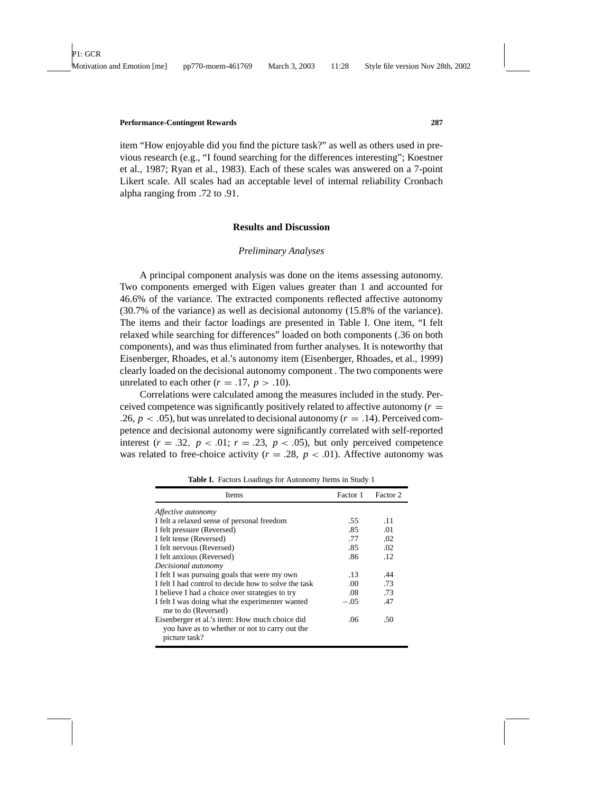item "How enjoyable did you find the picture task?" as well as others used in previous research (e.g., "I found searching for the differences interesting"; Koestner et al., 1987; Ryan et al., 1983). Each of these scales was answered on a 7-point Likert scale. All scales had an acceptable level of internal reliability Cronbach alpha ranging from .72 to .91.

## **Results and Discussion**

#### *Preliminary Analyses*

A principal component analysis was done on the items assessing autonomy. Two components emerged with Eigen values greater than 1 and accounted for 46.6% of the variance. The extracted components reflected affective autonomy (30.7% of the variance) as well as decisional autonomy (15.8% of the variance). The items and their factor loadings are presented in Table I. One item, "I felt relaxed while searching for differences" loaded on both components (.36 on both components), and was thus eliminated from further analyses. It is noteworthy that Eisenberger, Rhoades, et al.'s autonomy item (Eisenberger, Rhoades, et al., 1999) clearly loaded on the decisional autonomy component . The two components were unrelated to each other  $(r = .17, p > .10)$ .

Correlations were calculated among the measures included in the study. Perceived competence was significantly positively related to affective autonomy  $(r =$ .26,  $p < .05$ ), but was unrelated to decisional autonomy ( $r = .14$ ). Perceived competence and decisional autonomy were significantly correlated with self-reported interest  $(r = .32, p < .01; r = .23, p < .05)$ , but only perceived competence was related to free-choice activity  $(r = .28, p < .01)$ . Affective autonomy was

| <b>Items</b>                                                                                                      | Factor 1 | Factor 2        |
|-------------------------------------------------------------------------------------------------------------------|----------|-----------------|
| Affective autonomy                                                                                                |          |                 |
| I felt a relaxed sense of personal freedom                                                                        | .55      | $\overline{11}$ |
| I felt pressure (Reversed)                                                                                        | .85      | .01             |
| I felt tense (Reversed)                                                                                           | .77      | .02             |
| I felt nervous (Reversed)                                                                                         | .85      | .02             |
| I felt anxious (Reversed)                                                                                         | .86      | .12             |
| Decisional autonomy                                                                                               |          |                 |
| I felt I was pursuing goals that were my own                                                                      | 13       | -44             |
| I felt I had control to decide how to solve the task                                                              | .00.     | .73             |
| I believe I had a choice over strategies to try                                                                   | .08      | .73             |
| I felt I was doing what the experimenter wanted<br>me to do (Reversed)                                            | $-.05$   | .47             |
| Eisenberger et al.'s item: How much choice did<br>you have as to whether or not to carry out the<br>picture task? | .06      | .50             |

**Table I.** Factors Loadings for Autonomy Items in Study 1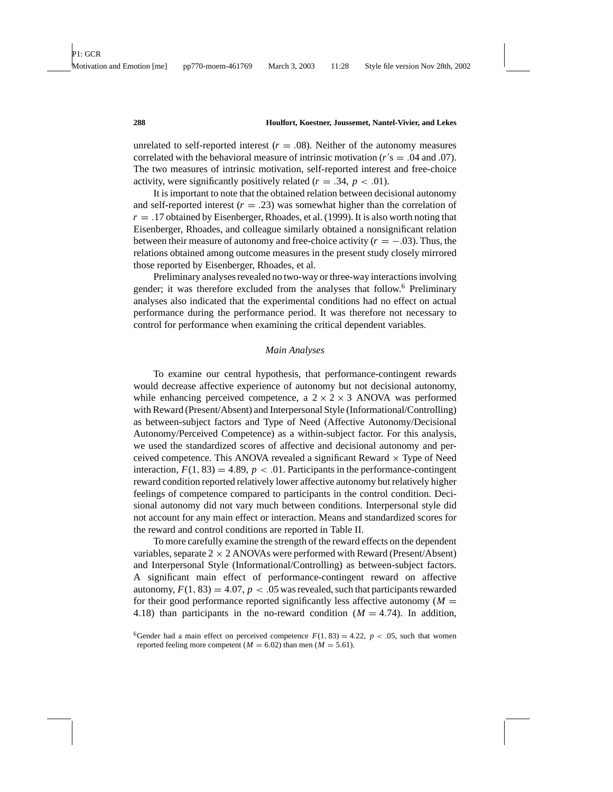unrelated to self-reported interest  $(r = .08)$ . Neither of the autonomy measures correlated with the behavioral measure of intrinsic motivation ( $r$ 's = .04 and .07). The two measures of intrinsic motivation, self-reported interest and free-choice activity, were significantly positively related  $(r = .34, p < .01)$ .

It is important to note that the obtained relation between decisional autonomy and self-reported interest  $(r = .23)$  was somewhat higher than the correlation of  $r = .17$  obtained by Eisenberger, Rhoades, et al. (1999). It is also worth noting that Eisenberger, Rhoades, and colleague similarly obtained a nonsignificant relation between their measure of autonomy and free-choice activity  $(r = -.03)$ . Thus, the relations obtained among outcome measures in the present study closely mirrored those reported by Eisenberger, Rhoades, et al.

Preliminary analyses revealed no two-way or three-way interactions involving gender; it was therefore excluded from the analyses that follow.<sup>6</sup> Preliminary analyses also indicated that the experimental conditions had no effect on actual performance during the performance period. It was therefore not necessary to control for performance when examining the critical dependent variables.

# *Main Analyses*

To examine our central hypothesis, that performance-contingent rewards would decrease affective experience of autonomy but not decisional autonomy, while enhancing perceived competence, a  $2 \times 2 \times 3$  ANOVA was performed with Reward (Present/Absent) and Interpersonal Style (Informational/Controlling) as between-subject factors and Type of Need (Affective Autonomy/Decisional Autonomy/Perceived Competence) as a within-subject factor. For this analysis, we used the standardized scores of affective and decisional autonomy and perceived competence. This ANOVA revealed a significant Reward  $\times$  Type of Need interaction,  $F(1, 83) = 4.89$ ,  $p < .01$ . Participants in the performance-contingent reward condition reported relatively lower affective autonomy but relatively higher feelings of competence compared to participants in the control condition. Decisional autonomy did not vary much between conditions. Interpersonal style did not account for any main effect or interaction. Means and standardized scores for the reward and control conditions are reported in Table II.

To more carefully examine the strength of the reward effects on the dependent variables, separate  $2 \times 2$  ANOVAs were performed with Reward (Present/Absent) and Interpersonal Style (Informational/Controlling) as between-subject factors. A significant main effect of performance-contingent reward on affective autonomy,  $F(1, 83) = 4.07$ ,  $p < .05$  was revealed, such that participants rewarded for their good performance reported significantly less affective autonomy  $(M =$ 4.18) than participants in the no-reward condition  $(M = 4.74)$ . In addition,

<sup>&</sup>lt;sup>6</sup>Gender had a main effect on perceived competence  $F(1, 83) = 4.22$ ,  $p < .05$ , such that women reported feeling more competent ( $M = 6.02$ ) than men ( $M = 5.61$ ).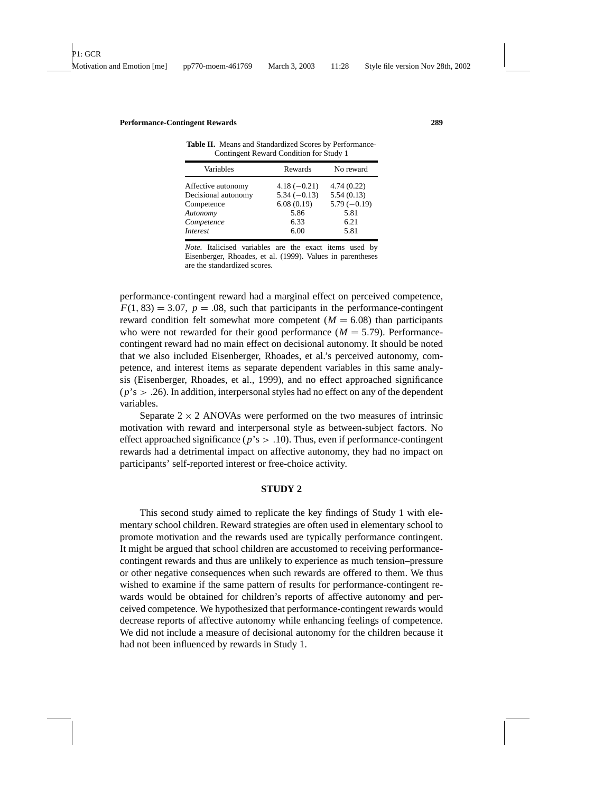| Variables           | Rewards       | No reward     |
|---------------------|---------------|---------------|
| Affective autonomy  | $4.18(-0.21)$ | 4.74(0.22)    |
| Decisional autonomy | $5.34(-0.13)$ | 5.54(0.13)    |
| Competence          | 6.08(0.19)    | $5.79(-0.19)$ |
| Autonomy            | 5.86          | 5.81          |
| Competence          | 6.33          | 6.21          |
| <i>Interest</i>     | 6.00          | 5.81          |
|                     |               |               |

**Table II.** Means and Standardized Scores by Performance-Contingent Reward Condition for Study 1

*Note*. Italicised variables are the exact items used by Eisenberger, Rhoades, et al. (1999). Values in parentheses are the standardized scores.

performance-contingent reward had a marginal effect on perceived competence,  $F(1, 83) = 3.07$ ,  $p = .08$ , such that participants in the performance-contingent reward condition felt somewhat more competent  $(M = 6.08)$  than participants who were not rewarded for their good performance  $(M = 5.79)$ . Performancecontingent reward had no main effect on decisional autonomy. It should be noted that we also included Eisenberger, Rhoades, et al.'s perceived autonomy, competence, and interest items as separate dependent variables in this same analysis (Eisenberger, Rhoades, et al., 1999), and no effect approached significance  $(p's > .26)$ . In addition, interpersonal styles had no effect on any of the dependent variables.

Separate  $2 \times 2$  ANOVAs were performed on the two measures of intrinsic motivation with reward and interpersonal style as between-subject factors. No effect approached significance ( $p$ 's  $>$  .10). Thus, even if performance-contingent rewards had a detrimental impact on affective autonomy, they had no impact on participants' self-reported interest or free-choice activity.

# **STUDY 2**

This second study aimed to replicate the key findings of Study 1 with elementary school children. Reward strategies are often used in elementary school to promote motivation and the rewards used are typically performance contingent. It might be argued that school children are accustomed to receiving performancecontingent rewards and thus are unlikely to experience as much tension–pressure or other negative consequences when such rewards are offered to them. We thus wished to examine if the same pattern of results for performance-contingent rewards would be obtained for children's reports of affective autonomy and perceived competence. We hypothesized that performance-contingent rewards would decrease reports of affective autonomy while enhancing feelings of competence. We did not include a measure of decisional autonomy for the children because it had not been influenced by rewards in Study 1.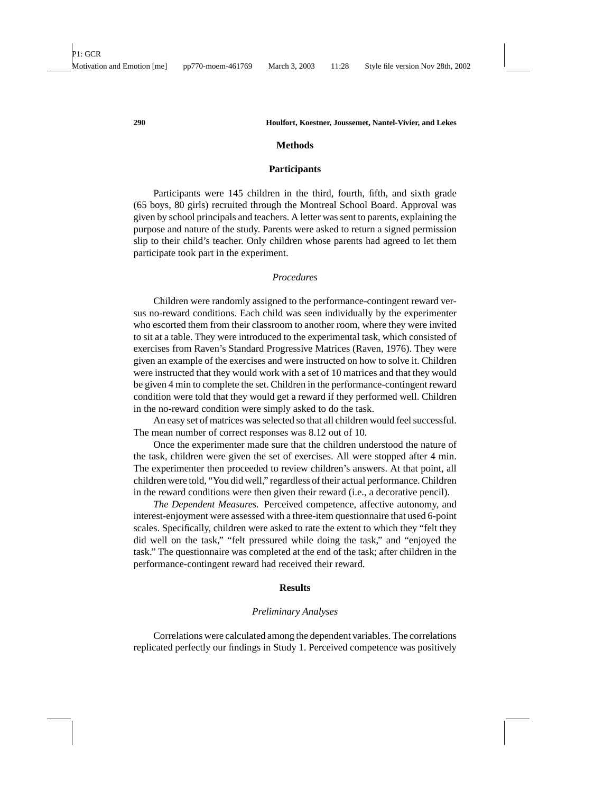#### **Methods**

#### **Participants**

Participants were 145 children in the third, fourth, fifth, and sixth grade (65 boys, 80 girls) recruited through the Montreal School Board. Approval was given by school principals and teachers. A letter was sent to parents, explaining the purpose and nature of the study. Parents were asked to return a signed permission slip to their child's teacher. Only children whose parents had agreed to let them participate took part in the experiment.

## *Procedures*

Children were randomly assigned to the performance-contingent reward versus no-reward conditions. Each child was seen individually by the experimenter who escorted them from their classroom to another room, where they were invited to sit at a table. They were introduced to the experimental task, which consisted of exercises from Raven's Standard Progressive Matrices (Raven, 1976). They were given an example of the exercises and were instructed on how to solve it. Children were instructed that they would work with a set of 10 matrices and that they would be given 4 min to complete the set. Children in the performance-contingent reward condition were told that they would get a reward if they performed well. Children in the no-reward condition were simply asked to do the task.

An easy set of matrices was selected so that all children would feel successful. The mean number of correct responses was 8.12 out of 10.

Once the experimenter made sure that the children understood the nature of the task, children were given the set of exercises. All were stopped after 4 min. The experimenter then proceeded to review children's answers. At that point, all children were told, "You did well," regardless of their actual performance. Children in the reward conditions were then given their reward (i.e., a decorative pencil).

*The Dependent Measures.* Perceived competence, affective autonomy, and interest-enjoyment were assessed with a three-item questionnaire that used 6-point scales. Specifically, children were asked to rate the extent to which they "felt they did well on the task," "felt pressured while doing the task," and "enjoyed the task." The questionnaire was completed at the end of the task; after children in the performance-contingent reward had received their reward.

#### **Results**

#### *Preliminary Analyses*

Correlations were calculated among the dependent variables. The correlations replicated perfectly our findings in Study 1. Perceived competence was positively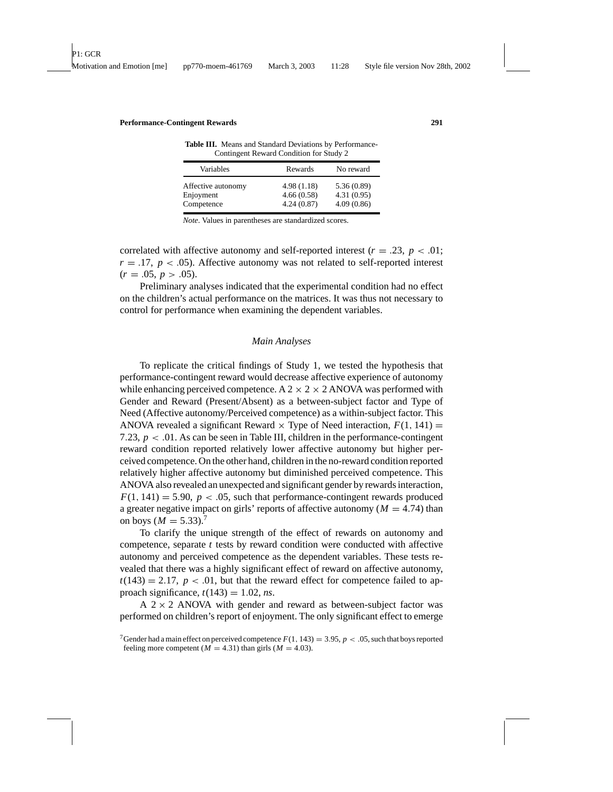| Variables          | Rewards    | No reward  |
|--------------------|------------|------------|
| Affective autonomy | 4.98(1.18) | 5.36(0.89) |
| Enjoyment          | 4.66(0.58) | 4.31(0.95) |
| Competence         | 4.24(0.87) | 4.09(0.86) |

**Table III.** Means and Standard Deviations by Performance-Contingent Reward Condition for Study 2

*Note*. Values in parentheses are standardized scores.

correlated with affective autonomy and self-reported interest  $(r = .23, p < .01;$  $r = .17$ ,  $p < .05$ ). Affective autonomy was not related to self-reported interest  $(r = .05, p > .05)$ .

Preliminary analyses indicated that the experimental condition had no effect on the children's actual performance on the matrices. It was thus not necessary to control for performance when examining the dependent variables.

#### *Main Analyses*

To replicate the critical findings of Study 1, we tested the hypothesis that performance-contingent reward would decrease affective experience of autonomy while enhancing perceived competence. A  $2 \times 2 \times 2$  ANOVA was performed with Gender and Reward (Present/Absent) as a between-subject factor and Type of Need (Affective autonomy/Perceived competence) as a within-subject factor. This ANOVA revealed a significant Reward  $\times$  Type of Need interaction,  $F(1, 141) =$ 7.23,  $p < 0.01$ . As can be seen in Table III, children in the performance-contingent reward condition reported relatively lower affective autonomy but higher perceived competence. On the other hand, children in the no-reward condition reported relatively higher affective autonomy but diminished perceived competence. This ANOVA also revealed an unexpected and significant gender by rewards interaction,  $F(1, 141) = 5.90, p < .05$ , such that performance-contingent rewards produced a greater negative impact on girls' reports of affective autonomy ( $M = 4.74$ ) than on boys ( $M = 5.33$ ).<sup>7</sup>

To clarify the unique strength of the effect of rewards on autonomy and competence, separate *t* tests by reward condition were conducted with affective autonomy and perceived competence as the dependent variables. These tests revealed that there was a highly significant effect of reward on affective autonomy,  $t(143) = 2.17$ ,  $p < .01$ , but that the reward effect for competence failed to approach significance,  $t(143) = 1.02$ , *ns*.

A  $2 \times 2$  ANOVA with gender and reward as between-subject factor was performed on children's report of enjoyment. The only significant effect to emerge

<sup>&</sup>lt;sup>7</sup>Gender had a main effect on perceived competence  $F(1, 143) = 3.95$ ,  $p < .05$ , such that boys reported feeling more competent ( $M = 4.31$ ) than girls ( $M = 4.03$ ).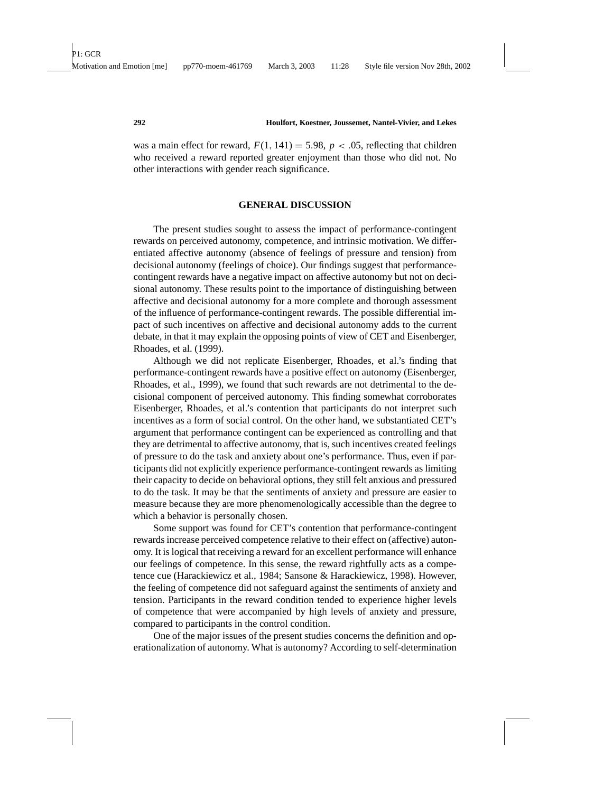was a main effect for reward,  $F(1, 141) = 5.98$ ,  $p < .05$ , reflecting that children who received a reward reported greater enjoyment than those who did not. No other interactions with gender reach significance.

## **GENERAL DISCUSSION**

The present studies sought to assess the impact of performance-contingent rewards on perceived autonomy, competence, and intrinsic motivation. We differentiated affective autonomy (absence of feelings of pressure and tension) from decisional autonomy (feelings of choice). Our findings suggest that performancecontingent rewards have a negative impact on affective autonomy but not on decisional autonomy. These results point to the importance of distinguishing between affective and decisional autonomy for a more complete and thorough assessment of the influence of performance-contingent rewards. The possible differential impact of such incentives on affective and decisional autonomy adds to the current debate, in that it may explain the opposing points of view of CET and Eisenberger, Rhoades, et al. (1999).

Although we did not replicate Eisenberger, Rhoades, et al.'s finding that performance-contingent rewards have a positive effect on autonomy (Eisenberger, Rhoades, et al., 1999), we found that such rewards are not detrimental to the decisional component of perceived autonomy. This finding somewhat corroborates Eisenberger, Rhoades, et al.'s contention that participants do not interpret such incentives as a form of social control. On the other hand, we substantiated CET's argument that performance contingent can be experienced as controlling and that they are detrimental to affective autonomy, that is, such incentives created feelings of pressure to do the task and anxiety about one's performance. Thus, even if participants did not explicitly experience performance-contingent rewards as limiting their capacity to decide on behavioral options, they still felt anxious and pressured to do the task. It may be that the sentiments of anxiety and pressure are easier to measure because they are more phenomenologically accessible than the degree to which a behavior is personally chosen.

Some support was found for CET's contention that performance-contingent rewards increase perceived competence relative to their effect on (affective) autonomy. It is logical that receiving a reward for an excellent performance will enhance our feelings of competence. In this sense, the reward rightfully acts as a competence cue (Harackiewicz et al., 1984; Sansone & Harackiewicz, 1998). However, the feeling of competence did not safeguard against the sentiments of anxiety and tension. Participants in the reward condition tended to experience higher levels of competence that were accompanied by high levels of anxiety and pressure, compared to participants in the control condition.

One of the major issues of the present studies concerns the definition and operationalization of autonomy. What is autonomy? According to self-determination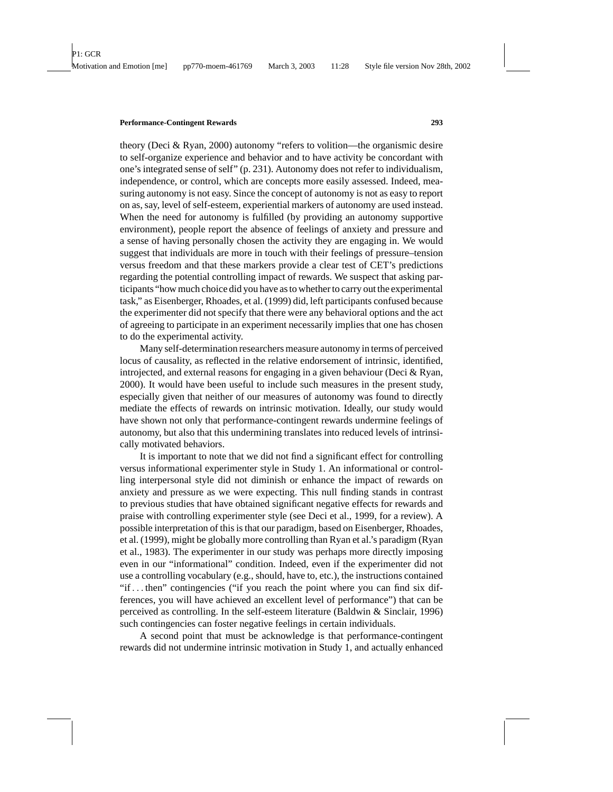theory (Deci & Ryan, 2000) autonomy "refers to volition—the organismic desire to self-organize experience and behavior and to have activity be concordant with one's integrated sense of self" (p. 231). Autonomy does not refer to individualism, independence, or control, which are concepts more easily assessed. Indeed, measuring autonomy is not easy. Since the concept of autonomy is not as easy to report on as, say, level of self-esteem, experiential markers of autonomy are used instead. When the need for autonomy is fulfilled (by providing an autonomy supportive environment), people report the absence of feelings of anxiety and pressure and a sense of having personally chosen the activity they are engaging in. We would suggest that individuals are more in touch with their feelings of pressure–tension versus freedom and that these markers provide a clear test of CET's predictions regarding the potential controlling impact of rewards. We suspect that asking participants "how much choice did you have as to whether to carry out the experimental task," as Eisenberger, Rhoades, et al. (1999) did, left participants confused because the experimenter did not specify that there were any behavioral options and the act of agreeing to participate in an experiment necessarily implies that one has chosen to do the experimental activity.

Many self-determination researchers measure autonomy in terms of perceived locus of causality, as reflected in the relative endorsement of intrinsic, identified, introjected, and external reasons for engaging in a given behaviour (Deci  $\&$  Ryan, 2000). It would have been useful to include such measures in the present study, especially given that neither of our measures of autonomy was found to directly mediate the effects of rewards on intrinsic motivation. Ideally, our study would have shown not only that performance-contingent rewards undermine feelings of autonomy, but also that this undermining translates into reduced levels of intrinsically motivated behaviors.

It is important to note that we did not find a significant effect for controlling versus informational experimenter style in Study 1. An informational or controlling interpersonal style did not diminish or enhance the impact of rewards on anxiety and pressure as we were expecting. This null finding stands in contrast to previous studies that have obtained significant negative effects for rewards and praise with controlling experimenter style (see Deci et al., 1999, for a review). A possible interpretation of this is that our paradigm, based on Eisenberger, Rhoades, et al. (1999), might be globally more controlling than Ryan et al.'s paradigm (Ryan et al., 1983). The experimenter in our study was perhaps more directly imposing even in our "informational" condition. Indeed, even if the experimenter did not use a controlling vocabulary (e.g., should, have to, etc.), the instructions contained "if ... then" contingencies ("if you reach the point where you can find six differences, you will have achieved an excellent level of performance") that can be perceived as controlling. In the self-esteem literature (Baldwin & Sinclair, 1996) such contingencies can foster negative feelings in certain individuals.

A second point that must be acknowledge is that performance-contingent rewards did not undermine intrinsic motivation in Study 1, and actually enhanced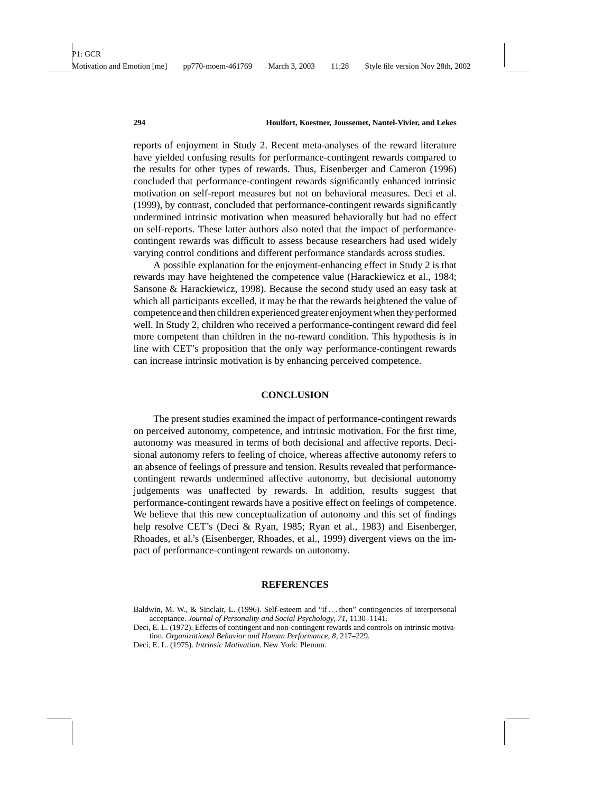reports of enjoyment in Study 2. Recent meta-analyses of the reward literature have yielded confusing results for performance-contingent rewards compared to the results for other types of rewards. Thus, Eisenberger and Cameron (1996) concluded that performance-contingent rewards significantly enhanced intrinsic motivation on self-report measures but not on behavioral measures. Deci et al. (1999), by contrast, concluded that performance-contingent rewards significantly undermined intrinsic motivation when measured behaviorally but had no effect on self-reports. These latter authors also noted that the impact of performancecontingent rewards was difficult to assess because researchers had used widely varying control conditions and different performance standards across studies.

A possible explanation for the enjoyment-enhancing effect in Study 2 is that rewards may have heightened the competence value (Harackiewicz et al., 1984; Sansone & Harackiewicz, 1998). Because the second study used an easy task at which all participants excelled, it may be that the rewards heightened the value of competence and then children experienced greater enjoyment when they performed well. In Study 2, children who received a performance-contingent reward did feel more competent than children in the no-reward condition. This hypothesis is in line with CET's proposition that the only way performance-contingent rewards can increase intrinsic motivation is by enhancing perceived competence.

#### **CONCLUSION**

The present studies examined the impact of performance-contingent rewards on perceived autonomy, competence, and intrinsic motivation. For the first time, autonomy was measured in terms of both decisional and affective reports. Decisional autonomy refers to feeling of choice, whereas affective autonomy refers to an absence of feelings of pressure and tension. Results revealed that performancecontingent rewards undermined affective autonomy, but decisional autonomy judgements was unaffected by rewards. In addition, results suggest that performance-contingent rewards have a positive effect on feelings of competence. We believe that this new conceptualization of autonomy and this set of findings help resolve CET's (Deci & Ryan, 1985; Ryan et al., 1983) and Eisenberger, Rhoades, et al.'s (Eisenberger, Rhoades, et al., 1999) divergent views on the impact of performance-contingent rewards on autonomy.

# **REFERENCES**

Deci, E. L. (1975). *Intrinsic Motivation*. New York: Plenum.

Baldwin, M. W., & Sinclair, L. (1996). Self-esteem and "if ... then" contingencies of interpersonal acceptance. *Journal of Personality and Social Psychology*, *71,* 1130–1141.

Deci, E. L. (1972). Effects of contingent and non-contingent rewards and controls on intrinsic motivation. *Organizational Behavior and Human Performance*, *8,* 217–229.